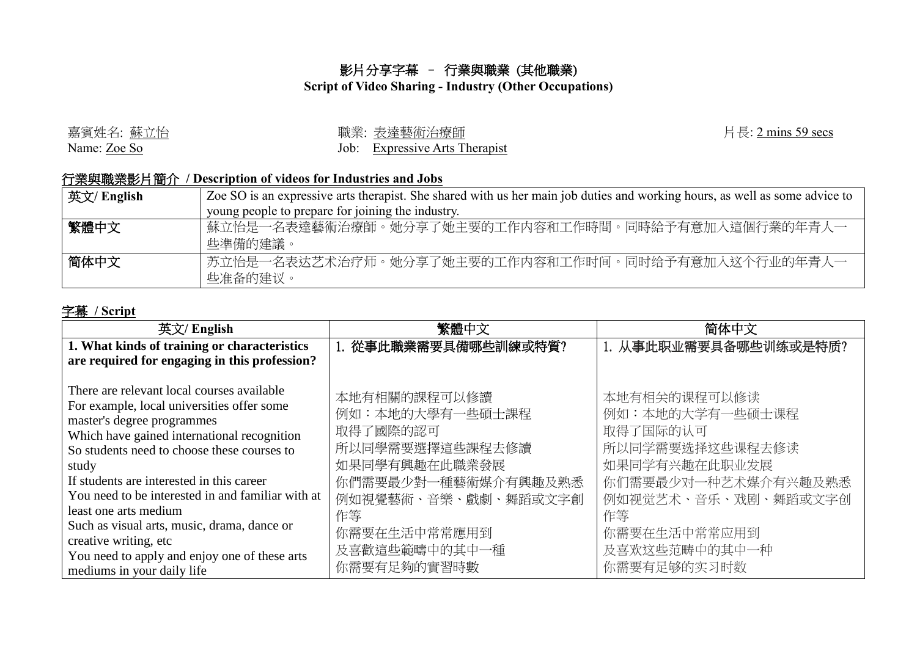## 影片分享字幕 – 行業與職業 (其他職業)

## **Script of Video Sharing - Industry (Other Occupations)**

| 嘉賓姓名: 蘇立怡    | 職業: 表達藝術治療師                    |
|--------------|--------------------------------|
| Name: Zoe So | Job: Expressive Arts Therapist |

片長: 2 mins 59 secs

## 行業與職業影片簡介 **/ Description of videos for Industries and Jobs**

| 英文/ English | Zoe SO is an expressive arts therapist. She shared with us her main job duties and working hours, as well as some advice to |  |  |
|-------------|-----------------------------------------------------------------------------------------------------------------------------|--|--|
|             | young people to prepare for joining the industry.                                                                           |  |  |
| 繁體中文        | 蘇立怡是一名表達藝術治療師。她分享了她主要的工作内容和工作時間。同時給予有意加入這個行業的年青人一<br>些準備的建議。                                                                |  |  |
| 简体中文        | 苏立怡是一名表达艺术治疗师。她分享了她主要的工作内容和工作时间。同时给予有意加入这个行业的年青人一<br>些准备的建议。                                                                |  |  |

## 字幕 **/ Script**

| 英文/ English                                                                                                                                                                                                                                                                                                                                                                                                                                                                       | 繁體中文                                                                                                                                                                 | 简体中文                                                                                                                                                                 |
|-----------------------------------------------------------------------------------------------------------------------------------------------------------------------------------------------------------------------------------------------------------------------------------------------------------------------------------------------------------------------------------------------------------------------------------------------------------------------------------|----------------------------------------------------------------------------------------------------------------------------------------------------------------------|----------------------------------------------------------------------------------------------------------------------------------------------------------------------|
| 1. What kinds of training or characteristics                                                                                                                                                                                                                                                                                                                                                                                                                                      | 1. 從事此職業需要具備哪些訓練或特質?                                                                                                                                                 | 1. 从事此职业需要具备哪些训练或是特质?                                                                                                                                                |
| are required for engaging in this profession?                                                                                                                                                                                                                                                                                                                                                                                                                                     |                                                                                                                                                                      |                                                                                                                                                                      |
| There are relevant local courses available<br>For example, local universities offer some<br>master's degree programmes<br>Which have gained international recognition<br>So students need to choose these courses to<br>study<br>If students are interested in this career<br>You need to be interested in and familiar with at<br>least one arts medium<br>Such as visual arts, music, drama, dance or<br>creative writing, etc<br>You need to apply and enjoy one of these arts | 本地有相關的課程可以修讀<br>例如:本地的大學有一些碩士課程<br>取得了國際的認可<br>所以同學需要選擇這些課程去修讀<br>如果同學有興趣在此職業發展<br>你們需要最少對一種藝術媒介有興趣及熟悉<br>例如視覺藝術、音樂、戲劇、舞蹈或文字創<br>作等<br>你需要在生活中常常應用到<br>及喜歡這些範疇中的其中一種 | 本地有相关的课程可以修读<br>例如:本地的大学有一些硕士课程<br>取得了国际的认可<br>所以同学需要选择这些课程去修读<br>如果同学有兴趣在此职业发展<br>你们需要最少对一种艺术媒介有兴趣及熟悉<br>例如视觉艺术、音乐、戏剧、舞蹈或文字创<br>作等<br>你需要在生活中常常应用到<br>及喜欢这些范畴中的其中一种 |
| mediums in your daily life                                                                                                                                                                                                                                                                                                                                                                                                                                                        | 你需要有足夠的實習時數                                                                                                                                                          | 你需要有足够的实习时数                                                                                                                                                          |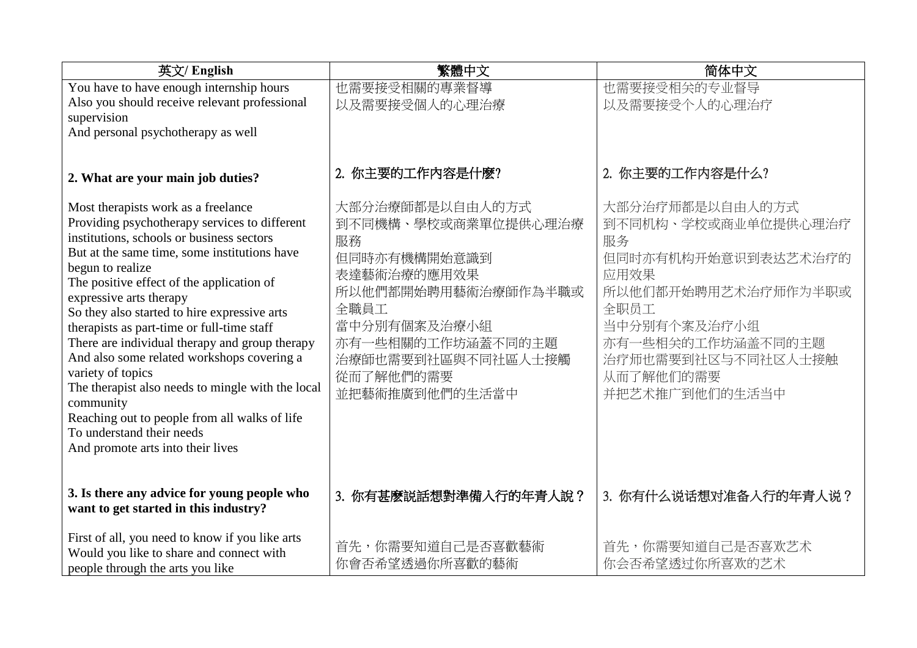| 英文/ English                                                                                | 繁體中文                  | 简体中文                  |
|--------------------------------------------------------------------------------------------|-----------------------|-----------------------|
| You have to have enough internship hours                                                   | 也需要接受相關的專業督導          | 也需要接受相关的专业督导          |
| Also you should receive relevant professional                                              | 以及需要接受個人的心理治療         | 以及需要接受个人的心理治疗         |
| supervision                                                                                |                       |                       |
| And personal psychotherapy as well                                                         |                       |                       |
|                                                                                            |                       |                       |
| 2. What are your main job duties?                                                          | 2. 你主要的工作内容是什麼?       | 2. 你主要的工作内容是什么?       |
| Most therapists work as a freelance                                                        | 大部分治療師都是以自由人的方式       | 大部分治疗师都是以自由人的方式       |
| Providing psychotherapy services to different                                              | 到不同機構、學校或商業單位提供心理治療   | 到不同机构、学校或商业单位提供心理治疗   |
| institutions, schools or business sectors                                                  | 服務                    | 服务                    |
| But at the same time, some institutions have                                               | 但同時亦有機構開始意識到          | 但同时亦有机构开始意识到表达艺术治疗的   |
| begun to realize                                                                           | 表達藝術治療的應用效果           | 应用效果                  |
| The positive effect of the application of                                                  | 所以他們都開始聘用藝術治療師作為半職或   | 所以他们都开始聘用艺术治疗师作为半职或   |
| expressive arts therapy                                                                    | 全職員工                  | 全职员工                  |
| So they also started to hire expressive arts<br>therapists as part-time or full-time staff | 當中分別有個案及治療小組          | 当中分别有个案及治疗小组          |
| There are individual therapy and group therapy                                             | 亦有一些相關的工作坊涵蓋不同的主題     | 亦有一些相关的工作坊涵盖不同的主题     |
| And also some related workshops covering a                                                 | 治療師也需要到社區與不同社區人士接觸    | 治疗师也需要到社区与不同社区人士接触    |
| variety of topics                                                                          | 從而了解他們的需要             | 从而了解他们的需要             |
| The therapist also needs to mingle with the local                                          | 並把藝術推廣到他們的生活當中        | 并把艺术推广到他们的生活当中        |
| community                                                                                  |                       |                       |
| Reaching out to people from all walks of life                                              |                       |                       |
| To understand their needs                                                                  |                       |                       |
| And promote arts into their lives                                                          |                       |                       |
|                                                                                            |                       |                       |
| 3. Is there any advice for young people who                                                | 3. 你有甚麼説話想對準備入行的年青人說? | 3. 你有什么说话想对准备入行的年青人说? |
| want to get started in this industry?                                                      |                       |                       |
|                                                                                            |                       |                       |
| First of all, you need to know if you like arts                                            | 首先,你需要知道自己是否喜歡藝術      | 首先,你需要知道自己是否喜欢艺术      |
| Would you like to share and connect with                                                   | 你會否希望透過你所喜歡的藝術        | 你会否希望透过你所喜欢的艺术        |
| people through the arts you like                                                           |                       |                       |